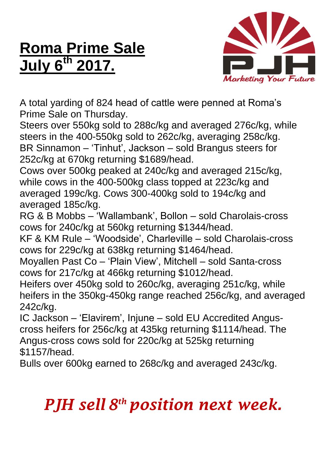## **Roma Prime Sale July 6 th 2017.**



A total yarding of 824 head of cattle were penned at Roma's Prime Sale on Thursday.

Steers over 550kg sold to 288c/kg and averaged 276c/kg, while steers in the 400-550kg sold to 262c/kg, averaging 258c/kg. BR Sinnamon – 'Tinhut', Jackson – sold Brangus steers for 252c/kg at 670kg returning \$1689/head.

Cows over 500kg peaked at 240c/kg and averaged 215c/kg, while cows in the 400-500kg class topped at 223c/kg and averaged 199c/kg. Cows 300-400kg sold to 194c/kg and averaged 185c/kg.

RG & B Mobbs – 'Wallambank', Bollon – sold Charolais-cross cows for 240c/kg at 560kg returning \$1344/head.

KF & KM Rule – 'Woodside', Charleville – sold Charolais-cross cows for 229c/kg at 638kg returning \$1464/head.

Moyallen Past Co – 'Plain View', Mitchell – sold Santa-cross cows for 217c/kg at 466kg returning \$1012/head.

Heifers over 450kg sold to 260c/kg, averaging 251c/kg, while heifers in the 350kg-450kg range reached 256c/kg, and averaged 242c/kg.

IC Jackson – 'Elavirem', Injune – sold EU Accredited Anguscross heifers for 256c/kg at 435kg returning \$1114/head. The Angus-cross cows sold for 220c/kg at 525kg returning \$1157/head.

Bulls over 600kg earned to 268c/kg and averaged 243c/kg.

## *PJH sell 8 th position next week.*